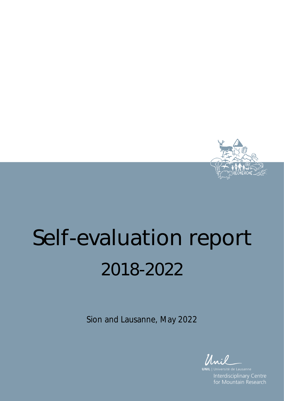

# Self-evaluation report 2018-2022

Sion and Lausanne, May 2022

**UNIL** Interdisciplinary Centre for Mountain Research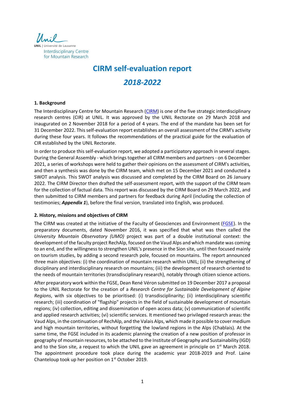

# **CIRM self-evaluation report** *2018-2022*

# **1. Background**

The Interdisciplinary Centre for Mountain Research (CIRM) is one of the five strategic interdisciplinary research centres (CIR) at UNIL. It was approved by the UNIL Rectorate on 29 March 2018 and inaugurated on 2 November 2018 for a period of 4 years. The end of the mandate has been set for 31 December 2022. This self-evaluation report establishes an overall assessment of the CIRM's activity during these four years. It follows the recommendations of the practical guide for the evaluation of CIR established by the UNIL Rectorate.

In order to produce this self-evaluation report, we adopted a participatory approach in several stages. During the General Assembly - which brings together all CIRM members and partners - on 6 December 2021, a series of workshops were held to gather their opinions on the assessment of CIRM's activities, and then a synthesis was done by the CIRM team, which met on 15 December 2021 and conducted a SWOT analysis. This SWOT analysis was discussed and completed by the CIRM Board on 26 January 2022. The CIRM Director then drafted the self-assessment report, with the support of the CIRM team for the collection of factual data. This report was discussed by the CIRM Board on 29 March 2022, and then submitted to CIRM members and partners for feedback during April (including the collection of testimonies; *Appendix 1*), before the final version, translated into English, was produced.

#### **2. History, missions and objectives of CIRM**

The CIRM was created at the initiative of the Faculty of Geosciences and Environment (FGSE). In the preparatory documents, dated November 2016, it was specified that what was then called the *University Mountain Observatory (UMO)* project was part of a double institutional context: the development of the faculty project RechAlp, focused on the Vaud Alps and which mandate was coming to an end, and the willingness to strengthen UNIL's presence in the Sion site, until then focused mainly on tourism studies, by adding a second research pole, focused on mountains. The report announced three main objectives: (i) the coordination of mountain research within UNIL; (ii) the strengthening of disciplinary and interdisciplinary research on mountains; (iii) the development of research oriented to the needs of mountain territories (transdisciplinary research), notably through citizen science actions.

After preparatory work within the FGSE, Dean René Véron submitted on 19 December 2017 a proposal to the UNIL Rectorate for the creation of a *Research Centre for Sustainable Development of Alpine Regions*, with six objectives to be prioritised: (i) transdisciplinarity; (ii) interdisciplinary scientific research; (iii) coordination of "flagship" projects in the field of sustainable development of mountain regions; (iv) collection, editing and dissemination of open access data; (v) communication of scientific and applied research activities; (vi) scientific services. It mentioned two privileged research areas: the Vaud Alps, in the continuation of RechAlp, and the Valais Alps, which made it possible to cover medium and high mountain territories, without forgetting the lowland regions in the Alps (Chablais). At the same time, the FGSE included in its academic planning the creation of a new position of professor in geography of mountain resources, to be attached to the Institute of Geography and Sustainability (IGD) and to the Sion site, a request to which the UNIL gave an agreement in principle on  $1<sup>st</sup>$  March 2018. The appointment procedure took place during the academic year 2018-2019 and Prof. Laine Chanteloup took up her position on  $1<sup>st</sup>$  October 2019.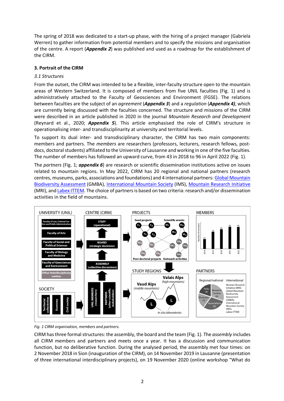The spring of 2018 was dedicated to a start-up phase, with the hiring of a project manager (Gabriela Werren) to gather information from potential members and to specify the missions and organisation of the centre. A report (*Appendix 2*) was published and used as a roadmap for the establishment of the CIRM.

# **3. Portrait of the CIRM**

# *3.1 Structures*

From the outset, the CIRM was intended to be a flexible, inter-faculty structure open to the mountain areas of Western Switzerland. It is composed of members from five UNIL faculties (Fig. 1) and is administratively attached to the Faculty of Geosciences and Environment (FGSE). The relations between faculties are the subject of an *agreement* (*Appendix 3*) and a *regulation* (*Appendix 4)*, which are currently being discussed with the faculties concerned. The structure and missions of the CIRM were described in an article published in 2020 in the journal *Mountain Research and Development*  (Reynard et al., 2020; *Appendix 5*). This article emphasised the role of CIRM's structure in operationalising inter- and transdisciplinarity at university and territorial levels.

To support its dual inter- and transdisciplinary character, the CIRM has two main components: members and partners. The *members* are researchers (professors, lecturers, research fellows, postdocs, doctoral students) affiliated to the University of Lausanne and working in one of the five faculties. The number of members has followed an upward curve, from 43 in 2018 to 96 in April 2022 (Fig. 1).

The *partners* (Fig. 1; *appendix 6*) are research or scientific dissemination institutions active on issues related to mountain regions. In May 2022, CIRM has 20 regional and national partners (research centres, museums, parks, associations and foundations) and 4 international partners: Global Mountain Biodiversity Assessment (GMBA), International Mountain Society (IMS), Mountain Research Initiative (MRI), and Labex ITTEM. The choice of partners is based on two criteria: research and/or dissemination activities in the field of mountains.



*Fig. 1 CIRM organisation, members and partners.*

CIRM has three formal structures: the assembly, the board and the team (Fig. 1). The *assembly* includes all CIRM members and partners and meets once a year. It has a discussion and communication function, but no deliberative function. During the analysed period, the assembly met four times: on 2 November 2018 in Sion (inauguration of the CIRM), on 14 November 2019 in Lausanne (presentation of three international interdisciplinary projects), on 19 November 2020 (online workshop "What do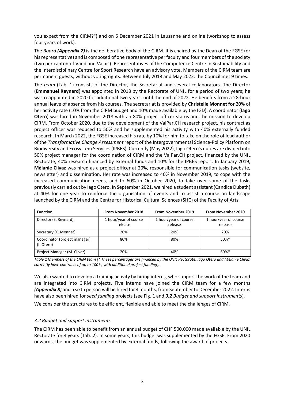you expect from the CIRM?") and on 6 December 2021 in Lausanne and online (workshop to assess four years of work).

The *Board (Appendix 7)* is the deliberative body of the CIRM. It is chaired by the Dean of the FGSE (or his representative) and is composed of one representative per faculty and four members of the society (two per canton of Vaud and Valais). Representatives of the Competence Centre in Sustainability and the Interdisciplinary Centre for Sport Research have an advisory vote. Members of the CIRM team are permanent guests, without voting rights. Between July 2018 and May 2022, the Council met 9 times.

The *team* (Tab. 1) consists of the Director, the Secretariat and several collaborators. The Director (**Emmanuel Reynard**) was appointed in 2018 by the Rectorate of UNIL for a period of two years; he was reappointed in 2020 for additional two years, until the end of 2022. He benefits from a 28-hour annual leave of absence from his courses. The secretariat is provided by **Christelle Monnet for** 20% of her activity rate (10% from the CIRM budget and 10% made available by the IGD). A coordinator (**Iago Otero**) was hired in November 2018 with an 80% project officer status and the mission to develop CIRM. From October 2020, due to the development of the ValPar.CH research project, his contract as project officer was reduced to 50% and he supplemented his activity with 40% externally funded research. In March 2022, the FGSE increased his rate by 10% for him to take on the role of lead author of the *Transformative Change Assessment* report of the Intergovernmental Science-Policy Platform on Biodiversity and Ecosystem Services (IPBES). Currently (May 2022), Iago Otero's duties are divided into 50% project manager for the coordination of CIRM and the ValPar.CH project, financed by the UNIL Rectorate, 40% research financed by external funds and 10% for the IPBES report. In January 2019, **Mélanie Clivaz** was hired as a project officer at 20%, responsible for communication tasks (website, newsletter) and dissemination. Her rate was increased to 40% in November 2019, to cope with the increased communication needs, and to 60% in October 2020, to take over some of the tasks previously carried out by Iago Otero. In September 2021, we hired a student assistant (Candice Dubath) at 40% for one year to reinforce the organisation of events and to assist a course on landscape launched by the CIRM and the Centre for Historical Cultural Sciences (SHC) of the Faculty of Arts.

| <b>Function</b>                             | From November 2018               | From November 2019               | <b>From November 2020</b>        |
|---------------------------------------------|----------------------------------|----------------------------------|----------------------------------|
| Director (E. Reynard)                       | 1 hour/year of course<br>release | 1 hour/year of course<br>release | 1 hour/year of course<br>release |
| Secretary (C. Monnet)                       | 20%                              | 20%                              | 20%                              |
| Coordinator (project manager)<br>(I. Otero) | 80%                              | 80%                              | $50\%$ *                         |
| Project Manager (M. Clivaz)                 | 20%                              | 40%                              | $60\%$ *                         |

*Table 1 Members of the CIRM team (\* These percentages are financed by the UNIL Rectorate. Iago Otero and Mélanie Clivaz currently have contracts of up to 100%, with additional project funding).* 

We also wanted to develop a training activity by hiring interns, who support the work of the team and are integrated into CIRM projects. Five interns have joined the CIRM team for a few months *(Appendix 8)* and a sixth person will be hired for 4 months, from September to December 2022. Interns have also been hired for *seed funding* projects (see Fig. 1 and *3.2 Budget and support instruments*).

We consider the structures to be efficient, flexible and able to meet the challenges of CIRM.

# *3.2 Budget and support instruments*

The CIRM has been able to benefit from an annual budget of CHF 500,000 made available by the UNIL Rectorate for 4 years (Tab. 2). In some years, this budget was supplemented by the FGSE. From 2020 onwards, the budget was supplemented by external funds, following the award of projects.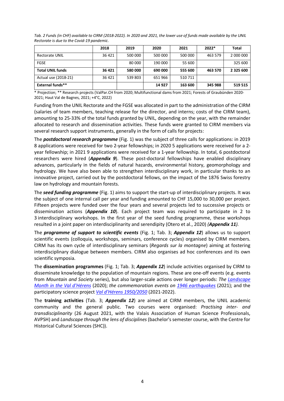|                         | 2018   | 2019    | 2020    | 2021    | 2022*   | Total     |
|-------------------------|--------|---------|---------|---------|---------|-----------|
| Rectorate UNIL          | 36 421 | 500 000 | 500 000 | 500 000 | 463 579 | 2 000 000 |
| <b>FGSE</b>             |        | 80 000  | 190 000 | 55 600  |         | 325 600   |
| <b>Total UNIL funds</b> | 36 421 | 580 000 | 690 000 | 555 600 | 463 570 | 2 325 600 |
| Actual use (2018-21)    | 36 421 | 539 803 | 651 966 | 510 711 |         |           |
| <b>External funds**</b> |        |         | 14 9 27 | 163 600 | 345 988 | 519 515   |

*Tab. 2 Funds (in CHF) available to CIRM (2018-2022). In 2020 and 2021, the lower use of funds made available by the UNIL Rectorate is due to the Covid-19 pandemic.* 

\* Projection; \*\* Research projects (ValPar.CH from 2020; Multifunctional dams from 2021; Forests of Graubünden 2020- 2021; Haut Val de Bagnes, 2021; +4°C, 2022)

Funding from the UNIL Rectorate and the FGSE was allocated in part to the administration of the CIRM (salaries of team members, teaching release for the director, and interns; costs of the CIRM team), amounting to 25-33% of the total funds granted by UNIL, depending on the year, with the remainder allocated to research and dissemination activities. These funds were granted to CIRM members via several research support instruments, generally in the form of calls for projects:

The *postdoctoral research programme* (Fig. 1) was the subject of three calls for applications: in 2019 8 applications were received for two 2-year fellowships; in 2020 5 applications were received for a 2 year fellowship; in 2021 9 applications were received for a 1-year fellowship. In total, 6 postdoctoral researchers were hired (*Appendix 9*). These post-doctoral fellowships have enabled disciplinary advances, particularly in the fields of natural hazards, environmental history, geomorphology and hydrology. We have also been able to strengthen interdisciplinary work, in particular thanks to an innovative project, carried out by the postdoctoral fellows, on the impact of the 1876 Swiss forestry law on hydrology and mountain forests.

The *seed funding programme* (Fig. 1) aims to support the start-up of interdisciplinary projects. It was the subject of one internal call per year and funding amounted to CHF 15,000 to 30,000 per project. Fifteen projects were funded over the four years and several projects led to successive projects or dissemination actions (*Appendix 10*). Each project team was required to participate in 2 to 3 interdisciplinary workshops. In the first year of the seed funding programme, these workshops resulted in a joint paper on interdisciplinarity and serendipity (Otero et al., 2020) *(Appendix 11).*

The *programme of support to scientific events* (Fig. 1; Tab. 3; *Appendix 12*) allows us to support scientific events (colloquia, workshops, seminars, conference cycles) organised by CIRM members. CIRM has its own cycle of interdisciplinary seminars (*Regards sur la montagne*) aiming at fostering interdisciplinary dialogue between members. CIRM also organises ad hoc conferences and its own scientific symposia.

The **dissemination programmes** (Fig. 1; Tab. 3; *Appendix 12*) include activities organised by CIRM to disseminate knowledge to the population of mountain regions. These are one-off events (e.g. events from *Mountain and Society* series), but also larger-scale actions over longer periods: *The Landscape Month in the Val d'Hérens* (2020); *the commemoration events on 1946 earthquakes* (2021); and the participatory science project *Val d'Hérens 1950/2050* (2021-2022).

The **training activities** (Tab. 3; *Appendix 12*) are aimed at CIRM members, the UNIL academic community and the general public. Two courses were organised: *Practising inter- and transdisciplinarity* (26 August 2021, with the Valais Association of Human Science Professionals, AVPSH) and *Landscape through the lens of disciplines* (bachelor's semester course, with the Centre for Historical Cultural Sciences (SHC)).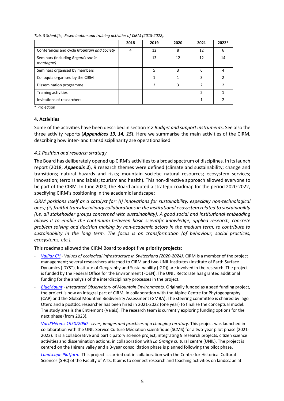|                                                 | 2018 | 2019          | 2020 | 2021 | 2022* |
|-------------------------------------------------|------|---------------|------|------|-------|
| Conferences and cycle Mountain and Society      | 4    | 12            | 8    | 12   | 6     |
| Seminars (including Regards sur la<br>montagne) |      | 13            | 12   | 12   | 14    |
| Seminars organised by members                   |      | 5             | 3    | 6    | 4     |
| Colloquia organised by the CIRM                 |      |               |      | 3    | っ     |
| Dissemination programme                         |      | $\mathcal{P}$ | 3    | C    | າ     |
| Training activities                             |      |               |      | っ    |       |
| Invitations of researchers                      |      |               |      |      |       |

*Tab. 3 Scientific, dissemination and training activities of CIRM (2018-2022).*

\* Projection

#### **4. Activities**

Some of the activities have been described in section *3.2 Budget and support instruments*. See also the three activity reports (*Appendices 13, 14, 15*). Here we summarise the main activities of the CIRM, describing how inter- and transdisciplinarity are operationalised.

#### *4.1 Position and research strategy*

The Board has deliberately opened up CIRM's activities to a broad spectrum of disciplines. In its launch report (2018; *Appendix 2*), 9 research themes were defined (climate and sustainability; change and transitions; natural hazards and risks; mountain society; natural resources; ecosystem services; innovation; terroirs and labels; tourism and health). This non-directive approach allowed everyone to be part of the CIRM. In June 2020, the Board adopted a strategic roadmap for the period 2020-2022, specifying CIRM's positioning in the academic landscape:

*CIRM positions itself as a catalyst for: (i) innovations for sustainability, especially non-technological ones; (ii) fruitful transdisciplinary collaborations in the institutional ecosystem related to sustainability (i.e. all stakeholder groups concerned with sustainability). A good social and institutional embedding allows it to enable the continuum between basic scientific knowledge, applied research, concrete problem solving and decision making by non-academic actors in the medium term, to contribute to sustainability in the long term. The focus is on transformation (of behaviour, social practices, ecosystems, etc.).*

This roadmap allowed the CIRM Board to adopt five **priority projects**:

- *ValPar.CH - Values of ecological infrastructure in Switzerland (2020-2024)*. CIRM is a member of the project management; several researchers attached to CIRM and two UNIL institutes (Institute of Earth Surface Dynamics (IDYST), Institute of Geography and Sustainability (IGD)) are involved in the research. The project is funded by the Federal Office for the Environment (FOEN). The UNIL Rectorate has granted additional funding for the analysis of the interdisciplinary processes in the project.
- *BlueMount - Integrated Observatory of Mountain Environments.* Originally funded as a seed funding project, the project is now an integral part of CIRM, in collaboration with the Alpine Centre for Phytogeography (CAP) and the Global Mountain Biodiversity Assessment (GMBA). The steering committee is chaired by Iago Otero and a postdoc researcher has been hired in 2021-2022 (one year) to finalise the conceptual model. The study area is the Entremont (Valais). The research team is currently exploring funding options for the next phase (from 2023).
- *Val d'Hérens 1950/2050 - Lives, images and practices of a changing territory.* This project was launched in collaboration with the UNIL Service Culture Médiation scientifique (SCMS) for a two-year pilot phase (2021- 2022). It is a collaborative and participatory science project, integrating 9 research projects, citizen science activities and dissemination actions, in collaboration with *La Grange* cultural centre (UNIL). The project is centred on the Hérens valley and a 3-year consolidation phase is planned following the pilot phase.
- Landscape Platform. This project is carried out in collaboration with the Centre for Historical Cultural Sciences (SHC) of the Faculty of Arts. It aims to connect research and teaching activities on landscape at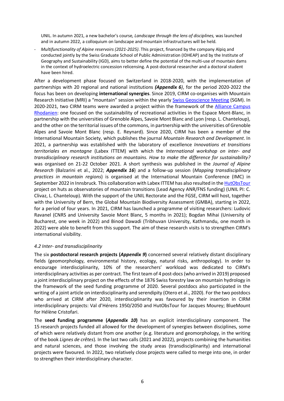UNIL. In autumn 2021, a new bachelor's course*, Landscape through the lens of disciplines,* was launched and in autumn 2022, a colloquium on landscape and mountain infrastructures will be held.

- *Multifunctionality of Alpine reservoirs (2021-2025)*. This project, financed by the company Alpiq and conducted jointly by the Swiss Graduate School of Public Administration (IDHEAP) and by the Institute of Geography and Sustainability (IGD), aims to better define the potential of the multi-use of mountain dams in the context of hydroelectric concession relicensing. A post-doctoral researcher and a doctoral student have been hired.

After a development phase focused on Switzerland in 2018-2020, with the implementation of partnerships with 20 regional and national institutions *(Appendix 6)*, for the period 2020-2022 the focus has been on developing **international synergies**. Since 2019, CIRM co-organises with Mountain Research Initiative (MRI) a "mountain" session within the yearly Swiss Geoscience Meeting (SGM). In 2020-2021, two CIRM teams were awarded a project within the framework of the **Alliance Campus** Rhodanien: one focused on the sustainability of recreational activities in the Espace Mont-Blanc, in partnership with the universities of Grenoble Alpes, Savoie Mont Blanc and Lyon (resp. L. Chanteloup), and the other on the territorial issues of the commons, in partnership with the universities of Grenoble Alpes and Savoie Mont Blanc (resp. E. Reynard). Since 2020, CIRM has been a member of the International Mountain Society, which publishes the journal *Mountain Research and Development*. In 2021, a partnership was established with the laboratory of excellence *Innovations et transitions territoriales en montagne* (Labex ITTEM) with which the *International workshop on inter- and transdisciplinary research institutions on mountains. How to make the difference for sustainability?*  was organised on 21-22 October 2021. A short synthesis was published in the *Journal of Alpine Research* (Balzarini et al., 2022; *Appendix 16*) and a follow-up session (*Mapping transdisciplinary practices in mountain regions*) is organised at the International Mountain Conference (IMC) in September 2022 in Innsbruck. This collaboration with Labex ITTEM has also resulted in the HutObsTour project on huts as observatories of mountain transitions (Lead Agency ANR/FNS funding) (UNIL PI: C. Clivaz, L. Chanteloup). With the support of the UNIL Rectorate and the FGSE, CIRM will host, together with the University of Bern, the Global Mountain Biodiversity Assessment (GMBA), starting in 2022, for a period of four years. In 2021, CIRM has launched a programme of visiting researchers: Ludovic Ravanel (CNRS and University Savoie Mont Blanc, 5 months in 2021); Bogdan Mihai (University of Bucharest, one week in 2022) and Binod Dawadi (Tribhuvan University, Kathmandu, one month in 2022) were able to benefit from this support. The aim of these research visits is to strengthen CIRM's international visibility.

#### *4.2 Inter- and transdisciplinarity*

The six **postdoctoral research projects (***Appendix 9***)** concerned several relatively distant disciplinary fields (geomorphology, environmental history, ecology, natural risks, anthropology). In order to encourage interdisciplinarity, 10% of the researchers' workload was dedicated to CIRM's interdisciplinary activities as per contract. The first team of 4 post-docs (who arrived in 2019) proposed a joint interdisciplinary project on the effects of the 1876 Swiss forestry law on mountain hydrology in the framework of the seed funding programme of 2020. Several postdocs also participated in the writing of a joint article on interdisciplinarity and serendipity (Otero et al., 2020). For the two postdocs who arrived at CIRM after 2020, interdisciplinarity was favoured by their insertion in CIRM interdisciplinary projects: Val d'Hérens 1950/2050 and HutObsTour for Jacques Mourey; BlueMount for Hélène Cristofari.

The **seed funding programme (***Appendix 10***)** has an explicit interdisciplinary component. The 15 research projects funded all allowed for the development of synergies between disciplines, some of which were relatively distant from one another (e.g. literature and geomorphology, in the writing of the book *Lignes de crêtes*). In the last two calls (2021 and 2022), projects combining the humanities and natural sciences, and those involving the study areas (transdisciplinarity) and international projects were favoured. In 2022, two relatively close projects were called to merge into one, in order to strengthen their interdisciplinary character.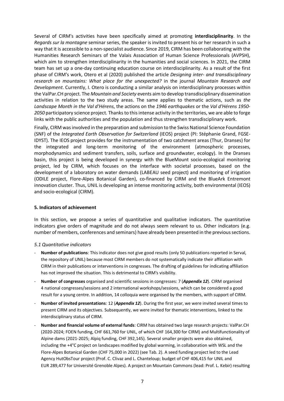Several of CIRM's activities have been specifically aimed at promoting **interdisciplinarity**. In the *Regards sur la montagne* seminar series, the speaker is invited to present his or her research in such a way that it is accessible to a non-specialist audience. Since 2019, CIRM has been collaborating with the Humanities Research Seminars of the Valais Association of Human Science Professionals (AVPSH), which aim to strengthen interdisciplinarity in the humanities and social sciences. In 2021, the CIRM team has set up a one-day continuing education course on interdisciplinarity. As a result of the first phase of CIRM's work, Otero et al (2020) published the article *Designing inter- and transdisciplinary research on mountains: What place for the unexpected?* in the journal *Mountain Research and Development*. Currently, I. Otero is conducting a similar analysis on interdisciplinary processes within the ValPar.CH project. The *Mountain and Society* events aim to develop transdisciplinary dissemination activities in relation to the two study areas. The same applies to thematic actions, such as *the Landscape Month in the Val d'Hérens*, the actions on the *1946 earthquakes* or the *Val d'Hérens 1950- 2050* participatory science project. Thanks to this intense activity in the territories, we are able to forge links with the public authorities and the population and thus strengthen transdisciplinary work.

Finally, CIRM was involved in the preparation and submission to the Swiss National Science Foundation (SNF) of the *Integrated Earth Observation for Switzerland* (IEOS) project (PI: Stéphanie Grand, FGSE-IDYST). The IEOS project provides for the instrumentation of two catchment areas (Thur, Dranses) for the integrated and long-term monitoring of the environment (atmospheric processes, morphodynamics and sediment transfers, soils, surface and groundwater, ecology). In the Dranses basin, this project is being developed in synergy with the BlueMount socio-ecological monitoring project, led by CIRM, which focuses on the interface with societal processes, based on the development of a laboratory on water demands (LABEAU seed project) and monitoring of irrigation (ODILE project, Flore-Alpes Botanical Garden), co-financed by CIRM and the BlueArk Entremont innovation cluster. Thus, UNIL is developing an intense monitoring activity, both environmental (IEOS) and socio-ecological (CIRM).

#### **5. Indicators of achievement**

In this section, we propose a series of quantitative and qualitative indicators. The quantitative indicators give orders of magnitude and do not always seem relevant to us. Other indicators (e.g. number of members, conferences and seminars) have already been presented in the previous sections.

#### *5.1 Quantitative indicators*

- **Number of publications**: This indicator does not give good results (only 50 publications reported in Serval, the repository of UNIL) because most CIRM members do not systematically indicate their affiliation with CIRM in their publications or interventions in congresses. The drafting of guidelines for indicating affiliation has not improved the situation. This is detrimental to CIRM's visibility.
- **Number of congresses** organised and scientific sessions in congresses: 7 (*Appendix 12*). CIRM organised 4 national congresses/sessions and 2 international workshops/sessions, which can be considered a good result for a young centre. In addition, 14 colloquia were organised by the members, with support of CIRM.
- **Number of invited presentations**: 12 (*Appendix 12*). During the first year, we were invited several times to present CIRM and its objectives. Subsequently, we were invited for thematic interventions, linked to the interdisciplinary status of CIRM.
- **Number and financial volume of external funds**: CIRM has obtained two large research projects: ValPar.CH (2020-2024; FOEN funding, CHF 661,760 for UNIL, of which CHF 164,300 for CIRM) and Multifunctionality of Alpine dams (2021-2025; Alpiq funding, CHF 392,145). Several smaller projects were also obtained, including the +4°C project on landscapes modified by global warming, in collaboration with WSL and the Flore-Alpes Botanical Garden (CHF 75,000 in 2022) (see Tab. 2). A seed funding project led to the Lead Agency HutObsTour project (Prof. C. Clivaz and L. Chanteloup; budget of CHF 406,415 for UNIL and EUR 289,477 for Université Grenoble Alpes). A project on Mountain Commons (lead: Prof. L. Kebir) resulting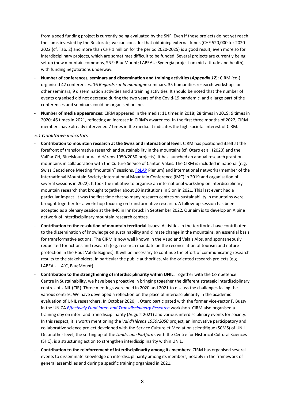from a seed funding project is currently being evaluated by the SNF. Even if these projects do not yet reach the sums invested by the Rectorate, we can consider that obtaining external funds (CHF 520,000 for 2020- 2022 (cf. Tab. 2) and more than CHF 1 million for the period 2020-2025) is a good result, even more so for interdisciplinary projects, which are sometimes difficult to be funded. Several projects are currently being set up (new mountain commons, SNF; BlueMount; LABEAU; Synergia project on mid-altitude and health), with funding negotiations underway.

- **Number of conferences, seminars and dissemination and training activities** (*Appendix 12*): CIRM (co-) organised 42 conferences, 16 *Regards sur la montagne* seminars, 35 humanities research workshops or other seminars, 9 dissemination activities and 3 training activities. It should be noted that the number of events organised did not decrease during the two years of the Covid-19 pandemic, and a large part of the conferences and seminars could be organised online.
- **Number of media appearances**: CIRM appeared in the media: 11 times in 2018; 28 times in 2019; 9 times in 2020; 46 times in 2021, reflecting an increase in CIRM's awareness. In the first three months of 2022, CIRM members have already intervened 7 times in the media. It indicates the high societal interest of CIRM.

#### *5.1 Qualitative indicators*

- **Contribution to mountain research at the Swiss and international level**: CIRM has positioned itself at the forefront of transformative research and sustainability in the mountains (cf. Otero et al. (2020) and the ValPar.CH, BlueMount or Val d'Hérens 1950/2050 projects). It has launched an annual research grant on mountains in collaboration with the Culture Service of Canton Valais. The CIRM is included in national (e.g. Swiss Geoscience Meeting "mountain" sessions, FoLAP Plenum) and international networks (member of the International Mountain Society; International Mountain Conference (IMC) in 2019 and organisation of several sessions in 2022). It took the initiative to organise an international workshop on interdisciplinary mountain research that brought together about 20 institutions in Sion in 2021. This last event had a particular impact. It was the first time that so many research centres on sustainability in mountains were brought together for a workshop focusing on transformative research. A follow-up session has been accepted as a plenary session at the IMC in Innsbruck in September 2022. Our aim is to develop an Alpine network of interdisciplinary mountain research centres.
- **Contribution to the resolution of mountain territorial issues**: Activities in the territories have contributed to the dissemination of knowledge on sustainability and climate change in the mountains, an essential basis for transformative actions. The CIRM is now well known in the Vaud and Valais Alps, and spontaneously requested for actions and research (e.g. research mandate on the reconciliation of tourism and nature protection in the Haut Val de Bagnes). It will be necessary to continue the effort of communicating research results to the stakeholders, in particular the public authorities, via the oriented research projects (e.g. LABEAU, +4°C, BlueMount).
- **Contribution to the strengthening of interdisciplinarity within UNIL**: Together with the Competence Centre in Sustainability, we have been proactive in bringing together the different strategic interdisciplinary centres of UNIL (CIR). Three meetings were held in 2020 and 2021 to discuss the challenges facing the various centres. We have developed a reflection on the place of interdisciplinarity in the academic evaluation of UNIL researchers. In October 2020, I. Otero participated with the former vice-rector F. Bussy in the UNICA *Effectively Fund inter- and Transdisciplinary Research* workshop. CIRM also organised a training day on inter- and transdisciplinarity (August 2021) and various interdisciplinary events for society. In this respect, it is worth mentioning the *Val d'Hérens 1950/2050* project, an innovative participatory and collaborative science project developed with the Service Culture et Médiation scientifique (SCMS) of UNIL. On another level, the setting up of the *Landscape Platform*, with the Centre for Historical Cultural Sciences (SHC), is a structuring action to strengthen interdisciplinarity within UNIL.
- **Contribution to the reinforcement of interdisciplinarity among its members**: CIRM has organised several events to disseminate knowledge on interdisciplinarity among its members, notably in the framework of general assemblies and during a specific training organised in 2021.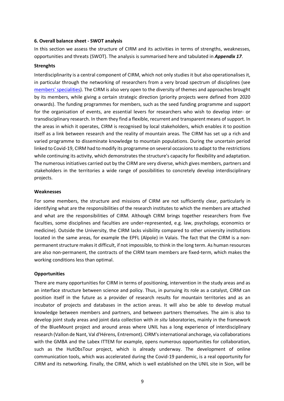#### **6. Overall balance sheet - SWOT analysis**

In this section we assess the structure of CIRM and its activities in terms of strengths, weaknesses, opportunities and threats (SWOT). The analysis is summarised here and tabulated in *Appendix 17*.

#### **Strenghts**

Interdisciplinarity is a central component of CIRM, which not only studies it but also operationalises it, in particular through the networking of researchers from a very broad spectrum of disciplines (see members' specialities). The CIRM is also very open to the diversity of themes and approaches brought by its members, while giving a certain strategic direction (priority projects were defined from 2020 onwards). The funding programmes for members, such as the seed funding programme and support for the organisation of events, are essential levers for researchers who wish to develop inter- or transdisciplinary research. In them they find a flexible, recurrent and transparent means of support. In the areas in which it operates, CIRM is recognised by local stakeholders, which enables it to position itself as a link between research and the reality of mountain areas. The CIRM has set up a rich and varied programme to disseminate knowledge to mountain populations. During the uncertain period linked to Covid-19, CIRM had to modify its programme on several occasions to adapt to the restrictions while continuing its activity, which demonstrates the structure's capacity for flexibility and adaptation. The numerous initiatives carried out by the CIRM are very diverse, which gives members, partners and stakeholders in the territories a wide range of possibilities to concretely develop interdisciplinary projects.

#### **Weaknesses**

For some members, the structure and missions of CIRM are not sufficiently clear, particularly in identifying what are the responsibilities of the research institutes to which the members are attached and what are the responsibilities of CIRM. Although CIRM brings together researchers from five faculties, some disciplines and faculties are under-represented, e.g. law, psychology, economics or medicine). Outside the University, the CIRM lacks visibility compared to other university institutions located in the same areas, for example the EPFL (Alpole) in Valais. The fact that the CIRM is a nonpermanent structure makes it difficult, if not impossible, to think in the long term. As human resources are also non-permanent, the contracts of the CIRM team members are fixed-term, which makes the working conditions less than optimal.

#### **Opportunities**

There are many opportunities for CIRM in terms of positioning, intervention in the study areas and as an interface structure between science and policy. Thus, in pursuing its role as a catalyst, CIRM can position itself in the future as a provider of research results for mountain territories and as an incubator of projects and databases in the action areas. It will also be able to develop mutual knowledge between members and partners, and between partners themselves. The aim is also to develop joint study areas and joint data collection with *in situ* laboratories, mainly in the framework of the BlueMount project and around areas where UNIL has a long experience of interdisciplinary research (Vallon de Nant, Val d'Hérens, Entremont). CIRM's international anchorage, via collaborations with the GMBA and the Labex ITTEM for example, opens numerous opportunities for collaboration, such as the HutObsTour project, which is already underway. The development of online communication tools, which was accelerated during the Covid-19 pandemic, is a real opportunity for CIRM and its networking. Finally, the CIRM, which is well established on the UNIL site in Sion, will be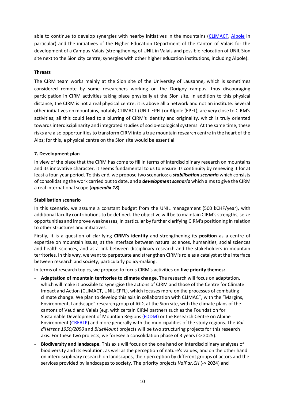able to continue to develop synergies with nearby initiatives in the mountains (CLIMACT, Alpole in particular) and the initiatives of the Higher Education Department of the Canton of Valais for the development of a Campus-Valais (strengthening of UNIL in Valais and possible relocation of UNIL Sion site next to the Sion city centre; synergies with other higher education institutions, including Alpole).

## **Threats**

The CIRM team works mainly at the Sion site of the University of Lausanne, which is sometimes considered remote by some researchers working on the Dorigny campus, thus discouraging participation in CIRM activities taking place physically at the Sion site. In addition to this physical distance, the CIRM is not a real physical centre; it is above all a network and not an institute. Several other initiatives on mountains, notably CLIMACT (UNIL-EPFL) or Alpole (EPFL), are very close to CIRM's activities; all this could lead to a blurring of CIRM's identity and originality, which is truly oriented towards interdisciplinarity and integrated studies of socio-ecological systems. At the same time, these risks are also opportunities to transform CIRM into a true mountain research centre in the heart of the Alps; for this, a physical centre on the Sion site would be essential.

# **7. Development plan**

In view of the place that the CIRM has come to fill in terms of interdisciplinary research on mountains and its innovative character, it seems fundamental to us to ensure its continuity by renewing it for at least a four-year period. To this end, we propose two scenarios: a *stabilisation scenario* which consists of consolidating the work carried out to date, and a *development scenario* which aims to give the CIRM a real international scope (*appendix 18*).

#### **Stabilisation scenario**

In this scenario, we assume a constant budget from the UNIL management (500 kCHF/year), with additional faculty contributions to be defined. The objective will be to maintain CIRM's strengths, seize opportunities and improve weaknesses, in particular by further clarifying CIRM's positioning in relation to other structures and initiatives.

Firstly, it is a question of clarifying **CIRM's identity** and strengthening its **position** as a centre of expertise on mountain issues, at the interface between natural sciences, humanities, social sciences and health sciences, and as a link between disciplinary research and the stakeholders in mountain territories. In this way, we want to perpetuate and strengthen CIRM's role as a catalyst at the interface between research and society, particularly policy-making.

In terms of research topics, we propose to focus CIRM's activities on **five priority themes:**

- **Adaptation of mountain territories to climate change.** The research will focus on adaptation, which will make it possible to synergise the actions of CIRM and those of the Centre for Climate Impact and Action (CLIMACT, UNIL-EPFL), which focuses more on the processes of combating climate change. We plan to develop this axis in collaboration with CLIMACT, with the "Margins, Environment, Landscape" research group of IGD, at the Sion site, with the climate plans of the cantons of Vaud and Valais (e.g. with certain CIRM partners such as the Foundation for Sustainable Development of Mountain Regions (FDDM) or the Research Centre on Alpine Environment (CREALP) and more generally with the municipalities of the study regions. The *Val d'Hérens 1950/2050* and *BlueMount* projects will be two structuring projects for this research axis. For these two projects, we foresee a consolidation phase of 3 years (-> 2025).
- **Biodiversity and landscape.** This axis will focus on the one hand on interdisciplinary analyses of biodiversity and its evolution, as well as the perception of nature's values, and on the other hand on interdisciplinary research on landscapes, their perception by different groups of actors and the services provided by landscapes to society. The priority projects *ValPar.CH* (-> 2024) and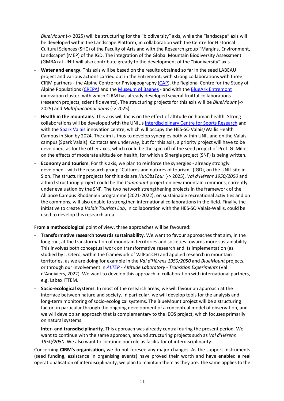*BlueMount* (-> 2025) will be structuring for the "biodiversity" axis, while the "landscape" axis will be developed within the Landscape Platform, in collaboration with the Centre for Historical Cultural Sciences (SHC) of the Faculty of Arts and with the Research group "Margins, Environment, Landscape" (MEP) of the IGD. The integration of the Global Mountain Biodiversity Assessment (GMBA) at UNIL will also contribute greatly to the development of the "biodiversity" axis.

- **Water and energy**. This axis will be based on the results obtained so far in the seed LABEAU project and various actions carried out in the Entremont, with strong collaborations with three CIRM partners - the Alpine Centre for Phytogeography (CAP), the Regional Centre for the Study of Alpine Populations (CREPA) and the Museum of Bagnes - and with the BlueArk Entremont innovation cluster, with which CIRM has already developed several fruitful collaborations (research projects, scientific events). The structuring projects for this axis will be *BlueMount* (-> 2025) and *Multifunctional dams* (-> 2025).
- **Health in the mountains**. This axis will focus on the effect of altitude on human health. Strong collaborations will be developed with the UNIL's Interdisciplinary Centre for Sports Research and with the Spark Valais innovation centre, which will occupy the HES-SO Valais/Wallis Health Campus in Sion by 2024. The aim is thus to develop synergies both within UNIL and on the Valais campus (Spark Valais). Contacts are underway, but for this axis, a priority project will have to be developed, as for the other axes, which could be the spin-off of the seed project of Prof. G. Millet on the effects of moderate altitude on health, for which a Sinergia project (SNF) is being written.
- **Economy and tourism**. For this axis, we plan to reinforce the synergies already strongly developed - with the research group "Cultures and natures of tourism" (IGD), on the UNIL site in Sion. The structuring projects for this axis are *HutObsTour* (-> 2025), *Val d'Hérens 1950/2050* and a third structuring project could be the *Commount* project on new mountain commons, currently under evaluation by the SNF. The two network strengthening projects in the framework of the Alliance Campus Rhodanien programme (2021-2022), on sustainable recreational activities and on the commons, will also enable to strengthen international collaborations in the field. Finally, the initiative to create a *Valais Tourism Lab*, in collaboration with the HES-SO Valais-Wallis, could be used to develop this research area.

**From a methodological** point of view, three approaches will be favoured:

- **Transformative research towards sustainability**. We want to favour approaches that aim, in the long run, at the transformation of mountain territories and societies towards more sustainability. This involves both conceptual work on transformative research and its implementation (as studied by I. Otero, within the framework of ValPar.CH) and applied research in mountain territories, as we are doing for example in the *Val d'Hérens 1950/2050* and *BlueMount* projects, or through our involvement in *ALTER - Altitude Laboratory - Transition Experiments* (Val d'Anniviers, 2022). We want to develop this approach in collaboration with international partners, e.g. Labex ITTEM.
- **Socio-ecological systems**. In most of the research areas, we will favour an approach at the interface between nature and society. In particular, we will develop tools for the analysis and long-term monitoring of socio-ecological systems. The BlueMount project will be a structuring factor, in particular through the ongoing development of a conceptual model of observation, and we will develop an approach that is complementary to the IEOS project, which focuses primarily on natural systems.
- **Inter- and transdisciplinarity**. This approach was already central during the present period. We want to continue with the same approach, around structuring projects such as *Val d'Hérens 1950/2050*. We also want to continue our role as facilitator of interdisciplinarity.

Concerning **CIRM's organisation,** we do not foresee any major changes. As the support instruments (seed funding, assistance in organising events) have proved their worth and have enabled a real operationalisation of interdisciplinarity, we plan to maintain them as they are. The same applies to the